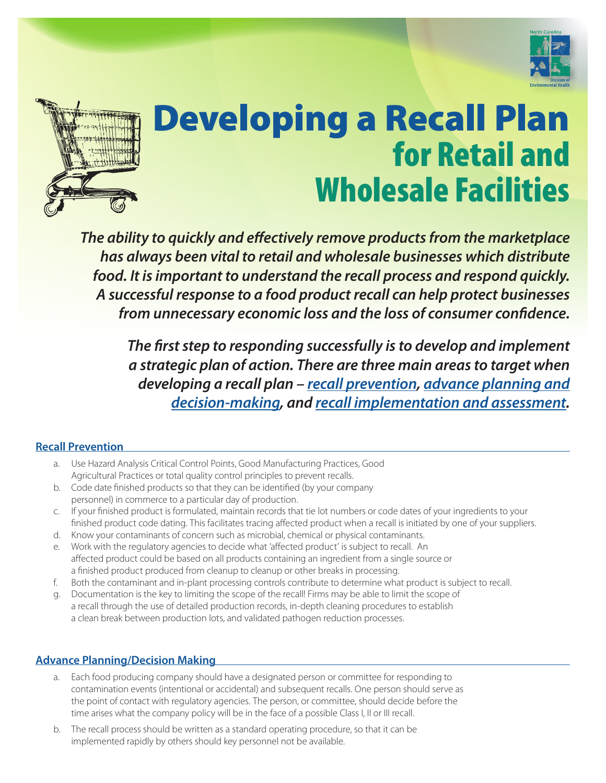



# Developing a Recall Plan for Retail and Wholesale Facilities

*The ability to quickly and effectively remove products from the marketplace has always been vital to retail and wholesale businesses which distribute food. It is important to understand the recall process and respond quickly. A successful response to a food product recall can help protect businesses from unnecessary economic loss and the loss of consumer confidence.* 

*The first step to responding successfully is to develop and implement a strategic plan of action. There are three main areas to target when developing a recall plan – [recall prevention](#page-0-0), [advance planning and](#page-0-1)  [decision-making](#page-0-1), and [recall implementation and assessment](#page-1-0).*

### <span id="page-0-0"></span>**Recall Prevention**

- a. Use Hazard Analysis Critical Control Points, Good Manufacturing Practices, Good Agricultural Practices or total quality control principles to prevent recalls.
- b. Code date finished products so that they can be identified (by your company personnel) in commerce to a particular day of production.
- c. If your finished product is formulated, maintain records that tie lot numbers or code dates of your ingredients to your finished product code dating. This facilitates tracing affected product when a recall is initiated by one of your suppliers.
- d. Know your contaminants of concern such as microbial, chemical or physical contaminants.
- e. Work with the regulatory agencies to decide what 'affected product' is subject to recall. An affected product could be based on all products containing an ingredient from a single source or a finished product produced from cleanup to cleanup or other breaks in processing.
- f. Both the contaminant and in-plant processing controls contribute to determine what product is subject to recall.
- g. Documentation is the key to limiting the scope of the recall! Firms may be able to limit the scope of a recall through the use of detailed production records, in-depth cleaning procedures to establish a clean break between production lots, and validated pathogen reduction processes.

### <span id="page-0-1"></span>**Advance Planning/Decision Making**

- a. Each food producing company should have a designated person or committee for responding to contamination events (intentional or accidental) and subsequent recalls. One person should serve as the point of contact with regulatory agencies. The person, or committee, should decide before the time arises what the company policy will be in the face of a possible Class I, II or III recall.
- b. The recall process should be written as a standard operating procedure, so that it can be implemented rapidly by others should key personnel not be available.